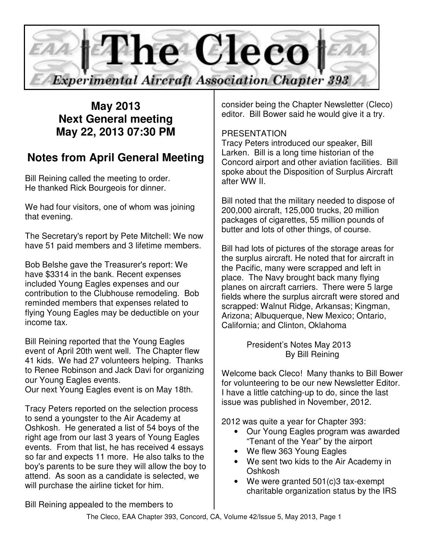

# **May 2013 Next General meeting May 22, 2013 07:30 PM**

# **Notes from April General Meeting**

Bill Reining called the meeting to order. He thanked Rick Bourgeois for dinner.

We had four visitors, one of whom was joining that evening.

The Secretary's report by Pete Mitchell: We now have 51 paid members and 3 lifetime members.

Bob Belshe gave the Treasurer's report: We have \$3314 in the bank. Recent expenses included Young Eagles expenses and our contribution to the Clubhouse remodeling. Bob reminded members that expenses related to flying Young Eagles may be deductible on your income tax.

Bill Reining reported that the Young Eagles event of April 20th went well. The Chapter flew 41 kids. We had 27 volunteers helping. Thanks to Renee Robinson and Jack Davi for organizing our Young Eagles events.

Our next Young Eagles event is on May 18th.

Tracy Peters reported on the selection process to send a youngster to the Air Academy at Oshkosh. He generated a list of 54 boys of the right age from our last 3 years of Young Eagles events. From that list, he has received 4 essays so far and expects 11 more. He also talks to the boy's parents to be sure they will allow the boy to attend. As soon as a candidate is selected, we will purchase the airline ticket for him.

consider being the Chapter Newsletter (Cleco) editor. Bill Bower said he would give it a try.

# PRESENTATION

Tracy Peters introduced our speaker, Bill Larken. Bill is a long time historian of the Concord airport and other aviation facilities. Bill spoke about the Disposition of Surplus Aircraft after WW II.

Bill noted that the military needed to dispose of 200,000 aircraft, 125,000 trucks, 20 million packages of cigarettes, 55 million pounds of butter and lots of other things, of course.

Bill had lots of pictures of the storage areas for the surplus aircraft. He noted that for aircraft in the Pacific, many were scrapped and left in place. The Navy brought back many flying planes on aircraft carriers. There were 5 large fields where the surplus aircraft were stored and scrapped: Walnut Ridge, Arkansas; Kingman, Arizona; Albuquerque, New Mexico; Ontario, California; and Clinton, Oklahoma

> President's Notes May 2013 By Bill Reining

Welcome back Cleco! Many thanks to Bill Bower for volunteering to be our new Newsletter Editor. I have a little catching-up to do, since the last issue was published in November, 2012.

2012 was quite a year for Chapter 393:

- Our Young Eagles program was awarded "Tenant of the Year" by the airport
- We flew 363 Young Eagles
- We sent two kids to the Air Academy in Oshkosh
- We were granted 501(c)3 tax-exempt charitable organization status by the IRS

Bill Reining appealed to the members to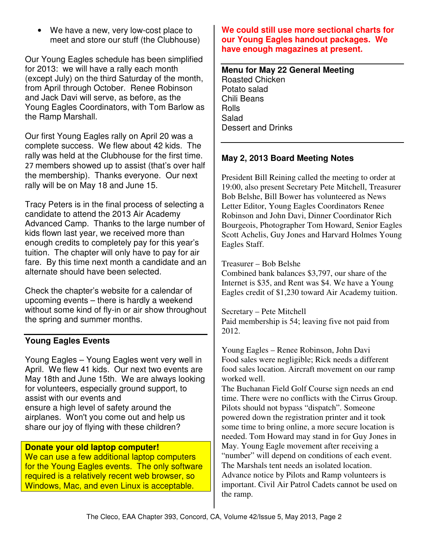• We have a new, very low-cost place to meet and store our stuff (the Clubhouse)

Our Young Eagles schedule has been simplified for 2013: we will have a rally each month (except July) on the third Saturday of the month, from April through October. Renee Robinson and Jack Davi will serve, as before, as the Young Eagles Coordinators, with Tom Barlow as the Ramp Marshall.

Our first Young Eagles rally on April 20 was a complete success. We flew about 42 kids. The rally was held at the Clubhouse for the first time. 27 members showed up to assist (that's over half the membership). Thanks everyone. Our next rally will be on May 18 and June 15.

Tracy Peters is in the final process of selecting a candidate to attend the 2013 Air Academy Advanced Camp. Thanks to the large number of kids flown last year, we received more than enough credits to completely pay for this year's tuition. The chapter will only have to pay for air fare. By this time next month a candidate and an alternate should have been selected.

Check the chapter's website for a calendar of upcoming events – there is hardly a weekend without some kind of fly-in or air show throughout the spring and summer months.

## **Young Eagles Events**

Young Eagles – Young Eagles went very well in April. We flew 41 kids. Our next two events are May 18th and June 15th. We are always looking for volunteers, especially ground support, to assist with our events and ensure a high level of safety around the airplanes. Won't you come out and help us share our joy of flying with these children?

**Donate your old laptop computer!**  We can use a few additional laptop computers for the Young Eagles events. The only software required is a relatively recent web browser, so Windows, Mac, and even Linux is acceptable.

#### **We could still use more sectional charts for our Young Eagles handout packages. We have enough magazines at present.**

**Menu for May 22 General Meeting**  Roasted Chicken Potato salad Chili Beans Rolls Salad Dessert and Drinks

# **May 2, 2013 Board Meeting Notes**

President Bill Reining called the meeting to order at 19:00, also present Secretary Pete Mitchell, Treasurer Bob Belshe, Bill Bower has volunteered as News Letter Editor, Young Eagles Coordinators Renee Robinson and John Davi, Dinner Coordinator Rich Bourgeois, Photographer Tom Howard, Senior Eagles Scott Achelis, Guy Jones and Harvard Holmes Young Eagles Staff.

Treasurer – Bob Belshe

Combined bank balances \$3,797, our share of the Internet is \$35, and Rent was \$4. We have a Young Eagles credit of \$1,230 toward Air Academy tuition.

Secretary – Pete Mitchell Paid membership is 54; leaving five not paid from 2012.

Young Eagles – Renee Robinson, John Davi Food sales were negligible; Rick needs a different food sales location. Aircraft movement on our ramp worked well.

The Buchanan Field Golf Course sign needs an end time. There were no conflicts with the Cirrus Group. Pilots should not bypass "dispatch". Someone powered down the registration printer and it took some time to bring online, a more secure location is needed. Tom Howard may stand in for Guy Jones in May. Young Eagle movement after receiving a "number" will depend on conditions of each event. The Marshals tent needs an isolated location. Advance notice by Pilots and Ramp volunteers is important. Civil Air Patrol Cadets cannot be used on the ramp.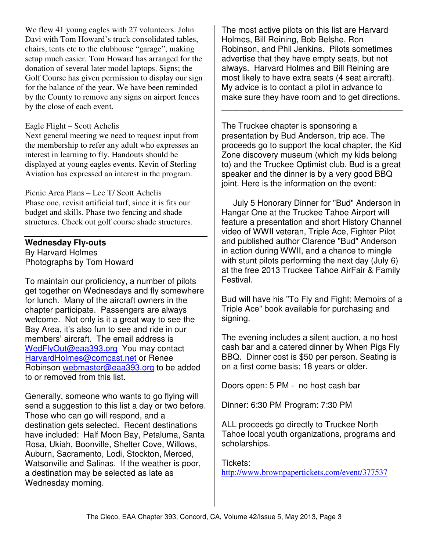We flew 41 young eagles with 27 volunteers. John Davi with Tom Howard's truck consolidated tables, chairs, tents etc to the clubhouse "garage", making setup much easier. Tom Howard has arranged for the donation of several later model laptops. Signs; the Golf Course has given permission to display our sign for the balance of the year. We have been reminded by the County to remove any signs on airport fences by the close of each event.

#### Eagle Flight – Scott Achelis

Next general meeting we need to request input from the membership to refer any adult who expresses an interest in learning to fly. Handouts should be displayed at young eagles events. Kevin of Sterling Aviation has expressed an interest in the program.

Picnic Area Plans – Lee T/ Scott Achelis Phase one, revisit artificial turf, since it is fits our budget and skills. Phase two fencing and shade structures. Check out golf course shade structures.

### **Wednesday Fly-outs**

By Harvard Holmes Photographs by Tom Howard

To maintain our proficiency, a number of pilots get together on Wednesdays and fly somewhere for lunch. Many of the aircraft owners in the chapter participate. Passengers are always welcome. Not only is it a great way to see the Bay Area, it's also fun to see and ride in our members' aircraft. The email address is WedFlyOut@eaa393.org You may contact HarvardHolmes@comcast.net or Renee Robinson webmaster@eaa393.org to be added to or removed from this list.

Generally, someone who wants to go flying will send a suggestion to this list a day or two before. Those who can go will respond, and a destination gets selected. Recent destinations have included: Half Moon Bay, Petaluma, Santa Rosa, Ukiah, Boonville, Shelter Cove, Willows, Auburn, Sacramento, Lodi, Stockton, Merced, Watsonville and Salinas. If the weather is poor, a destination may be selected as late as Wednesday morning.

The most active pilots on this list are Harvard Holmes, Bill Reining, Bob Belshe, Ron Robinson, and Phil Jenkins. Pilots sometimes advertise that they have empty seats, but not always. Harvard Holmes and Bill Reining are most likely to have extra seats (4 seat aircraft). My advice is to contact a pilot in advance to make sure they have room and to get directions.

**\_\_\_\_\_\_\_\_\_\_\_\_\_\_\_\_\_\_\_\_\_\_\_\_\_\_\_\_\_\_\_\_\_\_\_\_\_\_\_** 

The Truckee chapter is sponsoring a presentation by Bud Anderson, trip ace. The proceeds go to support the local chapter, the Kid Zone discovery museum (which my kids belong to) and the Truckee Optimist club. Bud is a great speaker and the dinner is by a very good BBQ joint. Here is the information on the event:

 July 5 Honorary Dinner for "Bud" Anderson in Hangar One at the Truckee Tahoe Airport will feature a presentation and short History Channel video of WWII veteran, Triple Ace, Fighter Pilot and published author Clarence "Bud" Anderson in action during WWII, and a chance to mingle with stunt pilots performing the next day (July 6) at the free 2013 Truckee Tahoe AirFair & Family Festival.

Bud will have his "To Fly and Fight; Memoirs of a Triple Ace" book available for purchasing and signing.

The evening includes a silent auction, a no host cash bar and a catered dinner by When Pigs Fly BBQ. Dinner cost is \$50 per person. Seating is on a first come basis; 18 years or older.

Doors open: 5 PM - no host cash bar

Dinner: 6:30 PM Program: 7:30 PM

ALL proceeds go directly to Truckee North Tahoe local youth organizations, programs and scholarships.

#### Tickets:

http://www.brownpapertickets.com/event/377537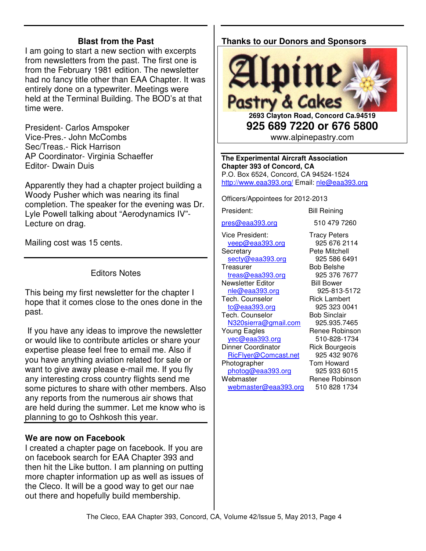### **Blast from the Past**

I am going to start a new section with excerpts from newsletters from the past. The first one is from the February 1981 edition. The newsletter had no fancy title other than EAA Chapter. It was entirely done on a typewriter. Meetings were held at the Terminal Building. The BOD's at that time were.

President- Carlos Amspoker Vice-Pres.- John McCombs Sec/Treas.- Rick Harrison AP Coordinator- Virginia Schaeffer Editor- Dwain Duis

Apparently they had a chapter project building a Woody Pusher which was nearing its final completion. The speaker for the evening was Dr. Lyle Powell talking about "Aerodynamics IV"- Lecture on drag.

Mailing cost was 15 cents.

Editors Notes

This being my first newsletter for the chapter I hope that it comes close to the ones done in the past.

 If you have any ideas to improve the newsletter or would like to contribute articles or share your expertise please feel free to email me. Also if you have anything aviation related for sale or want to give away please e-mail me. If you fly any interesting cross country flights send me some pictures to share with other members. Also any reports from the numerous air shows that are held during the summer. Let me know who is planning to go to Oshkosh this year.

#### **We are now on Facebook**

I created a chapter page on facebook. If you are on facebook search for EAA Chapter 393 and then hit the Like button. I am planning on putting more chapter information up as well as issues of the Cleco. It will be a good way to get our nae out there and hopefully build membership.

## **Thanks to our Donors and Sponsors**



**The Experimental Aircraft Association Chapter 393 of Concord, CA**  P.O. Box 6524, Concord, CA 94524-1524

http://www.eaa393.org/ Email: nle@eaa393.org

Officers/Appointees for 2012-2013

pres@eaa393.org 510 479 7260 Vice President: Tracy Peters veep@eaa393.org 925 676 2114

secty@eaa393.org 925 586 6491 Treasurer Bob Belshe treas@eaa393.org 925 376 7677 Newsletter Editor **Bill Bower** nle@eaa393.org 925-813-5172 Tech. Counselor **Rick Lambert** <u>tc@eaa393.org</u> 925 323 0041<br>ech. Counselor Bob Sinclair Tech. Counselor N320sierra@gmail.com 925.935.7465 Young Eagles **Renee Robinson** yec@eaa393.org 510-828-1734 Dinner Coordinator Rick Bourgeois RicFlyer@Comcast.net 925 432 9076 Photographer photog@eaa393.org 925 933 6015 Webmaster **Renee Robinson** webmaster@eaa393.org 510 828 1734

President: Bill Reining

Secretary **Pete Mitchell**